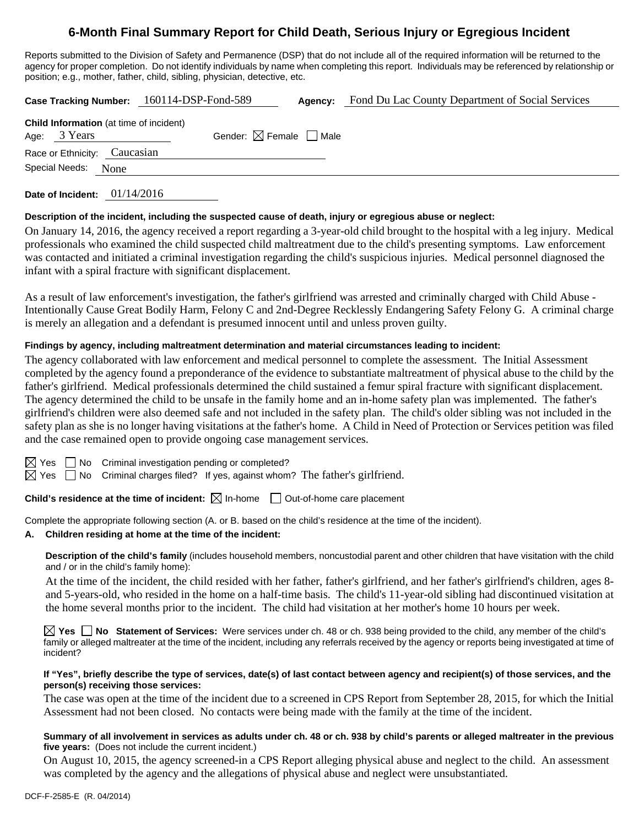## **6-Month Final Summary Report for Child Death, Serious Injury or Egregious Incident**

Reports submitted to the Division of Safety and Permanence (DSP) that do not include all of the required information will be returned to the agency for proper completion. Do not identify individuals by name when completing this report. Individuals may be referenced by relationship or position; e.g., mother, father, child, sibling, physician, detective, etc.

**Case Tracking Number:** 160114-DSP-Fond-589 **Agency:** Fond Du Lac County Department of Social Services

|                              | <b>Child Information</b> (at time of incident) |                                        |
|------------------------------|------------------------------------------------|----------------------------------------|
| Age: 3 Years                 |                                                | Gender: $\boxtimes$ Female $\Box$ Male |
| Race or Ethnicity: Caucasian |                                                |                                        |
| Special Needs: None          |                                                |                                        |
|                              |                                                |                                        |

**Date of Incident:** 01/14/2016

## **Description of the incident, including the suspected cause of death, injury or egregious abuse or neglect:**

On January 14, 2016, the agency received a report regarding a 3-year-old child brought to the hospital with a leg injury. Medical professionals who examined the child suspected child maltreatment due to the child's presenting symptoms. Law enforcement was contacted and initiated a criminal investigation regarding the child's suspicious injuries. Medical personnel diagnosed the infant with a spiral fracture with significant displacement.

As a result of law enforcement's investigation, the father's girlfriend was arrested and criminally charged with Child Abuse - Intentionally Cause Great Bodily Harm, Felony C and 2nd-Degree Recklessly Endangering Safety Felony G. A criminal charge is merely an allegation and a defendant is presumed innocent until and unless proven guilty.

## **Findings by agency, including maltreatment determination and material circumstances leading to incident:**

The agency collaborated with law enforcement and medical personnel to complete the assessment. The Initial Assessment completed by the agency found a preponderance of the evidence to substantiate maltreatment of physical abuse to the child by the father's girlfriend. Medical professionals determined the child sustained a femur spiral fracture with significant displacement. The agency determined the child to be unsafe in the family home and an in-home safety plan was implemented. The father's girlfriend's children were also deemed safe and not included in the safety plan. The child's older sibling was not included in the safety plan as she is no longer having visitations at the father's home. A Child in Need of Protection or Services petition was filed and the case remained open to provide ongoing case management services.

 $\Box$  No Criminal investigation pending or completed?

 $\boxtimes$  Yes  $\Box$  No Criminal charges filed? If yes, against whom? The father's girlfriend.

**Child's residence at the time of incident:**  $\boxtimes$  In-home  $\Box$  Out-of-home care placement

Complete the appropriate following section (A. or B. based on the child's residence at the time of the incident).

## **A. Children residing at home at the time of the incident:**

**Description of the child's family** (includes household members, noncustodial parent and other children that have visitation with the child and / or in the child's family home):

At the time of the incident, the child resided with her father, father's girlfriend, and her father's girlfriend's children, ages 8 and 5-years-old, who resided in the home on a half-time basis. The child's 11-year-old sibling had discontinued visitation at the home several months prior to the incident. The child had visitation at her mother's home 10 hours per week.

**Yes No Statement of Services:** Were services under ch. 48 or ch. 938 being provided to the child, any member of the child's family or alleged maltreater at the time of the incident, including any referrals received by the agency or reports being investigated at time of incident?

#### **If "Yes", briefly describe the type of services, date(s) of last contact between agency and recipient(s) of those services, and the person(s) receiving those services:**

The case was open at the time of the incident due to a screened in CPS Report from September 28, 2015, for which the Initial Assessment had not been closed. No contacts were being made with the family at the time of the incident.

## **Summary of all involvement in services as adults under ch. 48 or ch. 938 by child's parents or alleged maltreater in the previous five years:** (Does not include the current incident.)

On August 10, 2015, the agency screened-in a CPS Report alleging physical abuse and neglect to the child. An assessment was completed by the agency and the allegations of physical abuse and neglect were unsubstantiated.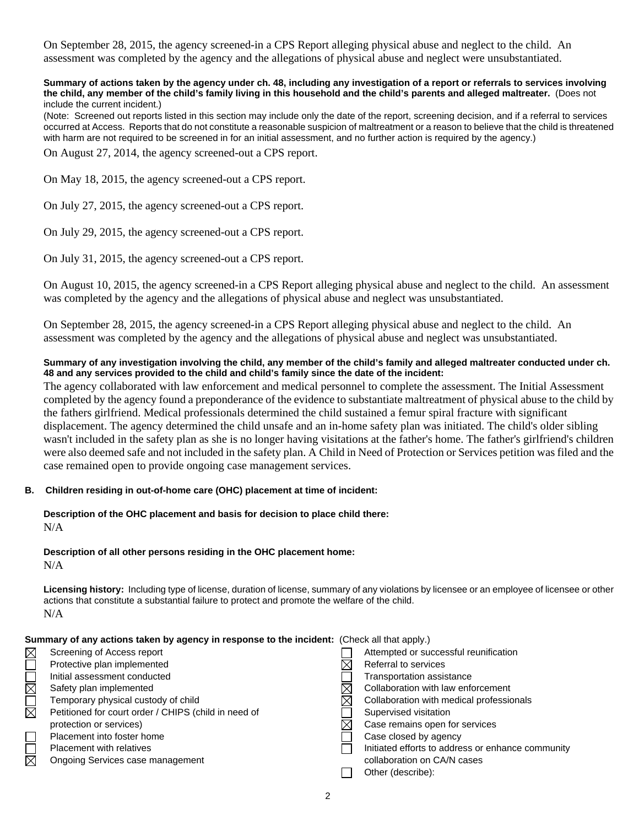On September 28, 2015, the agency screened-in a CPS Report alleging physical abuse and neglect to the child. An assessment was completed by the agency and the allegations of physical abuse and neglect were unsubstantiated.

#### **Summary of actions taken by the agency under ch. 48, including any investigation of a report or referrals to services involving the child, any member of the child's family living in this household and the child's parents and alleged maltreater.** (Does not include the current incident.)

(Note: Screened out reports listed in this section may include only the date of the report, screening decision, and if a referral to services occurred at Access. Reports that do not constitute a reasonable suspicion of maltreatment or a reason to believe that the child is threatened with harm are not required to be screened in for an initial assessment, and no further action is required by the agency.)

On August 27, 2014, the agency screened-out a CPS report.

On May 18, 2015, the agency screened-out a CPS report.

On July 27, 2015, the agency screened-out a CPS report.

On July 29, 2015, the agency screened-out a CPS report.

On July 31, 2015, the agency screened-out a CPS report.

On August 10, 2015, the agency screened-in a CPS Report alleging physical abuse and neglect to the child. An assessment was completed by the agency and the allegations of physical abuse and neglect was unsubstantiated.

On September 28, 2015, the agency screened-in a CPS Report alleging physical abuse and neglect to the child. An assessment was completed by the agency and the allegations of physical abuse and neglect was unsubstantiated.

#### **Summary of any investigation involving the child, any member of the child's family and alleged maltreater conducted under ch. 48 and any services provided to the child and child's family since the date of the incident:**

The agency collaborated with law enforcement and medical personnel to complete the assessment. The Initial Assessment completed by the agency found a preponderance of the evidence to substantiate maltreatment of physical abuse to the child by the fathers girlfriend. Medical professionals determined the child sustained a femur spiral fracture with significant displacement. The agency determined the child unsafe and an in-home safety plan was initiated. The child's older sibling wasn't included in the safety plan as she is no longer having visitations at the father's home. The father's girlfriend's children were also deemed safe and not included in the safety plan. A Child in Need of Protection or Services petition was filed and the case remained open to provide ongoing case management services.

## **B. Children residing in out-of-home care (OHC) placement at time of incident:**

# **Description of the OHC placement and basis for decision to place child there:**

N/A

**Description of all other persons residing in the OHC placement home:**  $N/A$ 

**Licensing history:** Including type of license, duration of license, summary of any violations by licensee or an employee of licensee or other actions that constitute a substantial failure to protect and promote the welfare of the child. N/A

| Summary of any actions taken by agency in response to the incident: (Check all that apply.) |                                                      |  |                                                   |  |  |
|---------------------------------------------------------------------------------------------|------------------------------------------------------|--|---------------------------------------------------|--|--|
| $\boxtimes$                                                                                 | Screening of Access report                           |  | Attempted or successful reunification             |  |  |
|                                                                                             | Protective plan implemented                          |  | Referral to services                              |  |  |
|                                                                                             | Initial assessment conducted                         |  | Transportation assistance                         |  |  |
| $\boxtimes$                                                                                 | Safety plan implemented                              |  | Collaboration with law enforcement                |  |  |
|                                                                                             | Temporary physical custody of child                  |  | Collaboration with medical professionals          |  |  |
| $\boxtimes$                                                                                 | Petitioned for court order / CHIPS (child in need of |  | Supervised visitation                             |  |  |
|                                                                                             | protection or services)                              |  | Case remains open for services                    |  |  |
|                                                                                             | Placement into foster home                           |  | Case closed by agency                             |  |  |
|                                                                                             | <b>Placement with relatives</b>                      |  | Initiated efforts to address or enhance community |  |  |
| $\boxtimes$                                                                                 | Ongoing Services case management                     |  | collaboration on CA/N cases                       |  |  |
|                                                                                             |                                                      |  | Other (describe):                                 |  |  |